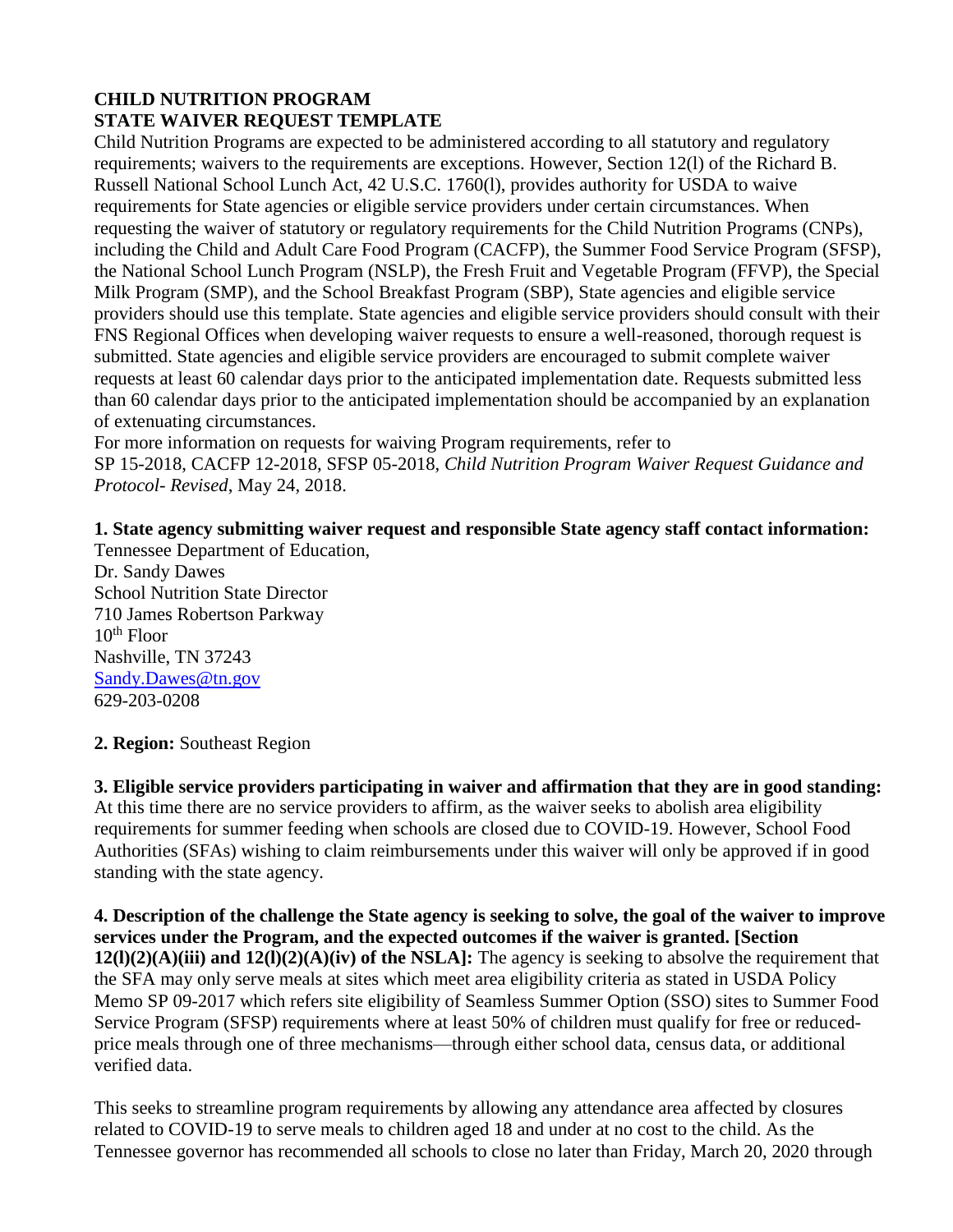## **CHILD NUTRITION PROGRAM STATE WAIVER REQUEST TEMPLATE**

Child Nutrition Programs are expected to be administered according to all statutory and regulatory requirements; waivers to the requirements are exceptions. However, Section 12(l) of the Richard B. Russell National School Lunch Act, 42 U.S.C. 1760(l), provides authority for USDA to waive requirements for State agencies or eligible service providers under certain circumstances. When requesting the waiver of statutory or regulatory requirements for the Child Nutrition Programs (CNPs), including the Child and Adult Care Food Program (CACFP), the Summer Food Service Program (SFSP), the National School Lunch Program (NSLP), the Fresh Fruit and Vegetable Program (FFVP), the Special Milk Program (SMP), and the School Breakfast Program (SBP), State agencies and eligible service providers should use this template. State agencies and eligible service providers should consult with their FNS Regional Offices when developing waiver requests to ensure a well-reasoned, thorough request is submitted. State agencies and eligible service providers are encouraged to submit complete waiver requests at least 60 calendar days prior to the anticipated implementation date. Requests submitted less than 60 calendar days prior to the anticipated implementation should be accompanied by an explanation of extenuating circumstances.

For more information on requests for waiving Program requirements, refer to SP 15-2018, CACFP 12-2018, SFSP 05-2018, *Child Nutrition Program Waiver Request Guidance and Protocol- Revised*, May 24, 2018.

#### **1. State agency submitting waiver request and responsible State agency staff contact information:**  Tennessee Department of Education,

Dr. Sandy Dawes School Nutrition State Director 710 James Robertson Parkway  $10^{th}$  Floor Nashville, TN 37243 [Sandy.Dawes@tn.gov](mailto:Sandy.Dawes@tn.gov) 629-203-0208

# **2. Region:** Southeast Region

**3. Eligible service providers participating in waiver and affirmation that they are in good standing:**  At this time there are no service providers to affirm, as the waiver seeks to abolish area eligibility requirements for summer feeding when schools are closed due to COVID-19. However, School Food Authorities (SFAs) wishing to claim reimbursements under this waiver will only be approved if in good standing with the state agency.

**4. Description of the challenge the State agency is seeking to solve, the goal of the waiver to improve services under the Program, and the expected outcomes if the waiver is granted. [Section 12(l)(2)(A)(iii) and 12(l)(2)(A)(iv) of the NSLA]:** The agency is seeking to absolve the requirement that the SFA may only serve meals at sites which meet area eligibility criteria as stated in USDA Policy Memo SP 09-2017 which refers site eligibility of Seamless Summer Option (SSO) sites to Summer Food Service Program (SFSP) requirements where at least 50% of children must qualify for free or reducedprice meals through one of three mechanisms—through either school data, census data, or additional verified data.

This seeks to streamline program requirements by allowing any attendance area affected by closures related to COVID-19 to serve meals to children aged 18 and under at no cost to the child. As the Tennessee governor has recommended all schools to close no later than Friday, March 20, 2020 through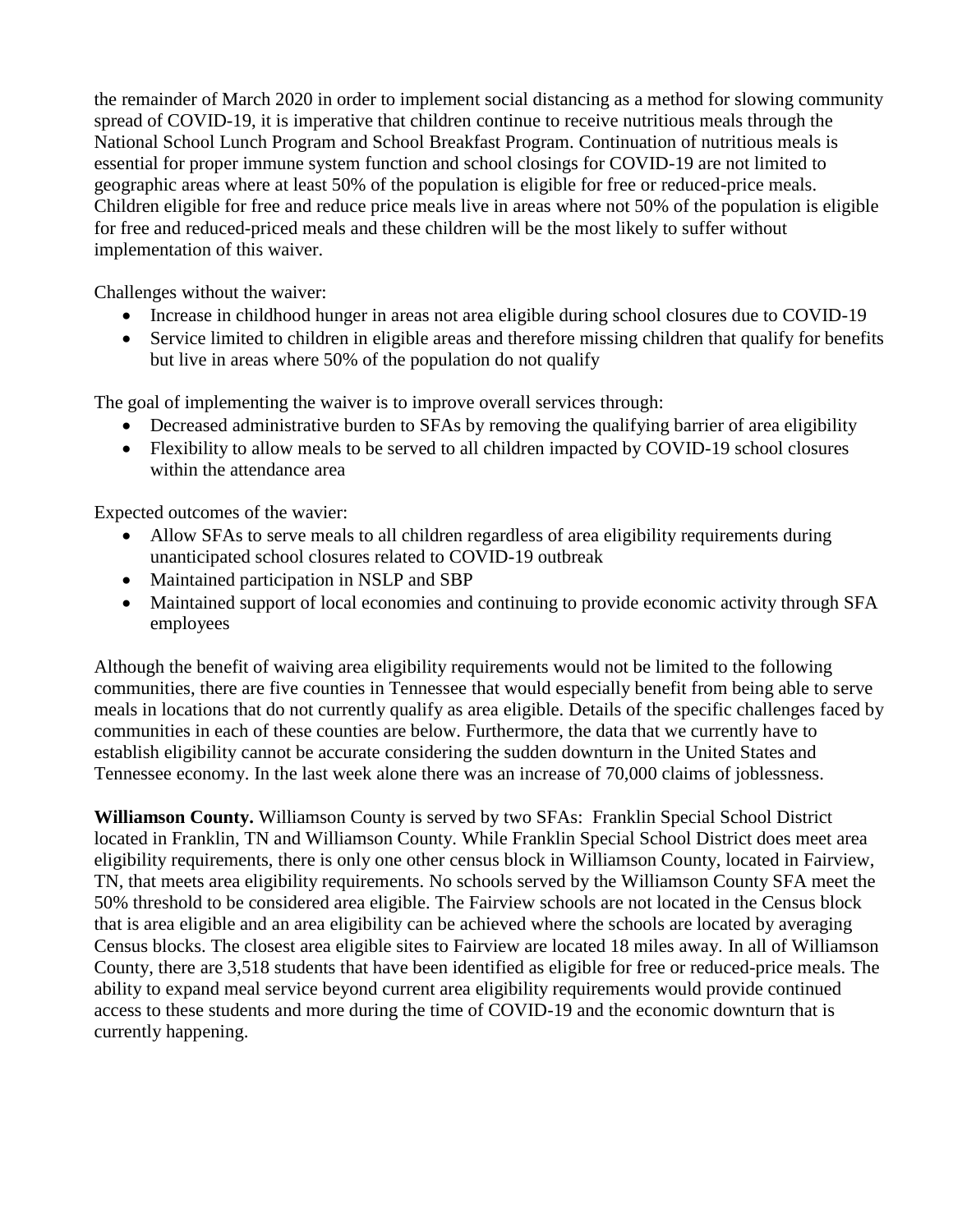the remainder of March 2020 in order to implement social distancing as a method for slowing community spread of COVID-19, it is imperative that children continue to receive nutritious meals through the National School Lunch Program and School Breakfast Program. Continuation of nutritious meals is essential for proper immune system function and school closings for COVID-19 are not limited to geographic areas where at least 50% of the population is eligible for free or reduced-price meals. Children eligible for free and reduce price meals live in areas where not 50% of the population is eligible for free and reduced-priced meals and these children will be the most likely to suffer without implementation of this waiver.

Challenges without the waiver:

- Increase in childhood hunger in areas not area eligible during school closures due to COVID-19
- Service limited to children in eligible areas and therefore missing children that qualify for benefits but live in areas where 50% of the population do not qualify

The goal of implementing the waiver is to improve overall services through:

- Decreased administrative burden to SFAs by removing the qualifying barrier of area eligibility
- Flexibility to allow meals to be served to all children impacted by COVID-19 school closures within the attendance area

Expected outcomes of the wavier:

- Allow SFAs to serve meals to all children regardless of area eligibility requirements during unanticipated school closures related to COVID-19 outbreak
- Maintained participation in NSLP and SBP
- Maintained support of local economies and continuing to provide economic activity through SFA employees

Although the benefit of waiving area eligibility requirements would not be limited to the following communities, there are five counties in Tennessee that would especially benefit from being able to serve meals in locations that do not currently qualify as area eligible. Details of the specific challenges faced by communities in each of these counties are below. Furthermore, the data that we currently have to establish eligibility cannot be accurate considering the sudden downturn in the United States and Tennessee economy. In the last week alone there was an increase of 70,000 claims of joblessness.

**Williamson County.** Williamson County is served by two SFAs: Franklin Special School District located in Franklin, TN and Williamson County. While Franklin Special School District does meet area eligibility requirements, there is only one other census block in Williamson County, located in Fairview, TN, that meets area eligibility requirements. No schools served by the Williamson County SFA meet the 50% threshold to be considered area eligible. The Fairview schools are not located in the Census block that is area eligible and an area eligibility can be achieved where the schools are located by averaging Census blocks. The closest area eligible sites to Fairview are located 18 miles away. In all of Williamson County, there are 3,518 students that have been identified as eligible for free or reduced-price meals. The ability to expand meal service beyond current area eligibility requirements would provide continued access to these students and more during the time of COVID-19 and the economic downturn that is currently happening.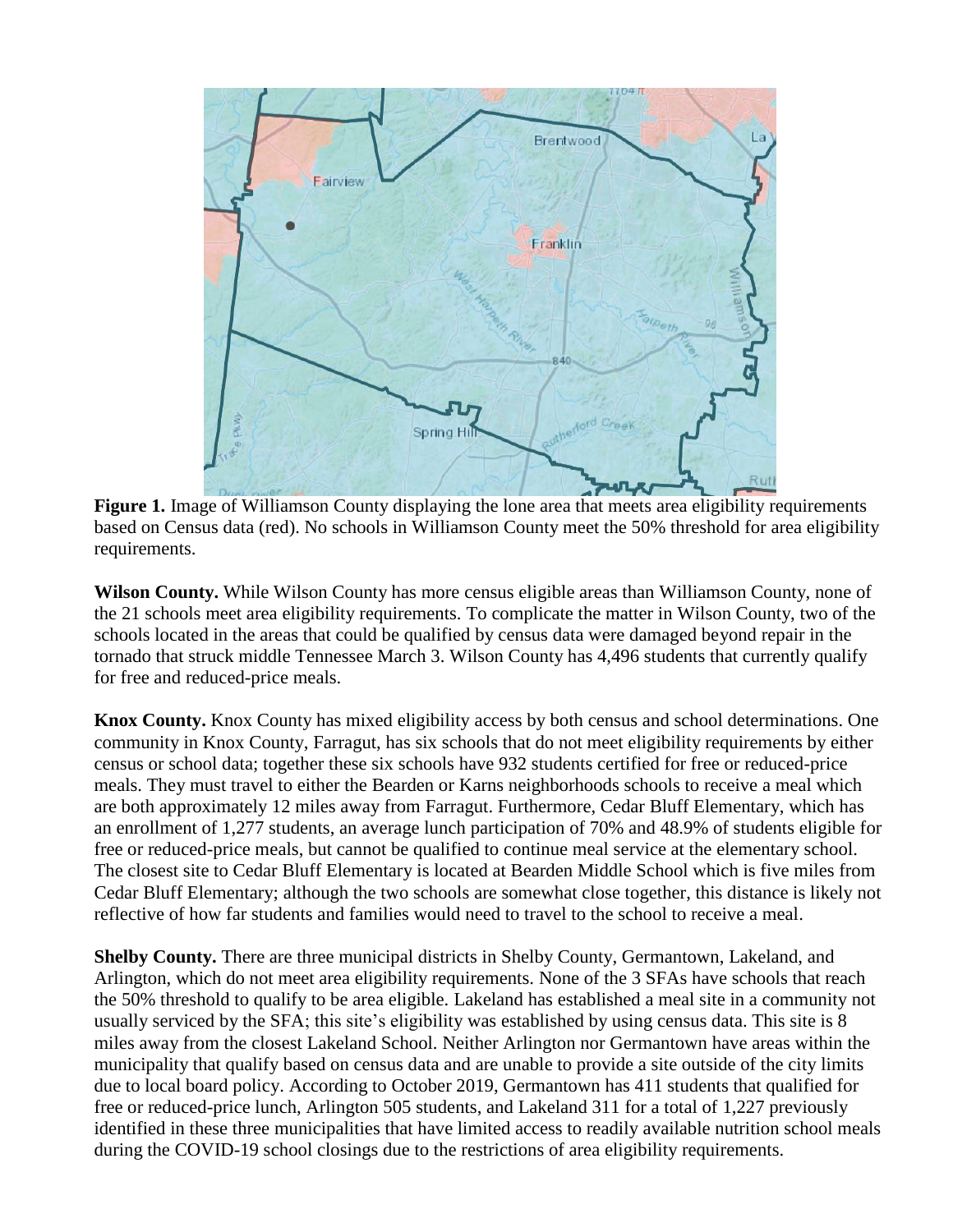

**Figure 1.** Image of Williamson County displaying the lone area that meets area eligibility requirements based on Census data (red). No schools in Williamson County meet the 50% threshold for area eligibility requirements.

**Wilson County.** While Wilson County has more census eligible areas than Williamson County, none of the 21 schools meet area eligibility requirements. To complicate the matter in Wilson County, two of the schools located in the areas that could be qualified by census data were damaged beyond repair in the tornado that struck middle Tennessee March 3. Wilson County has 4,496 students that currently qualify for free and reduced-price meals.

**Knox County.** Knox County has mixed eligibility access by both census and school determinations. One community in Knox County, Farragut, has six schools that do not meet eligibility requirements by either census or school data; together these six schools have 932 students certified for free or reduced-price meals. They must travel to either the Bearden or Karns neighborhoods schools to receive a meal which are both approximately 12 miles away from Farragut. Furthermore, Cedar Bluff Elementary, which has an enrollment of 1,277 students, an average lunch participation of 70% and 48.9% of students eligible for free or reduced-price meals, but cannot be qualified to continue meal service at the elementary school. The closest site to Cedar Bluff Elementary is located at Bearden Middle School which is five miles from Cedar Bluff Elementary; although the two schools are somewhat close together, this distance is likely not reflective of how far students and families would need to travel to the school to receive a meal.

**Shelby County.** There are three municipal districts in Shelby County, Germantown, Lakeland, and Arlington, which do not meet area eligibility requirements. None of the 3 SFAs have schools that reach the 50% threshold to qualify to be area eligible. Lakeland has established a meal site in a community not usually serviced by the SFA; this site's eligibility was established by using census data. This site is 8 miles away from the closest Lakeland School. Neither Arlington nor Germantown have areas within the municipality that qualify based on census data and are unable to provide a site outside of the city limits due to local board policy. According to October 2019, Germantown has 411 students that qualified for free or reduced-price lunch, Arlington 505 students, and Lakeland 311 for a total of 1,227 previously identified in these three municipalities that have limited access to readily available nutrition school meals during the COVID-19 school closings due to the restrictions of area eligibility requirements.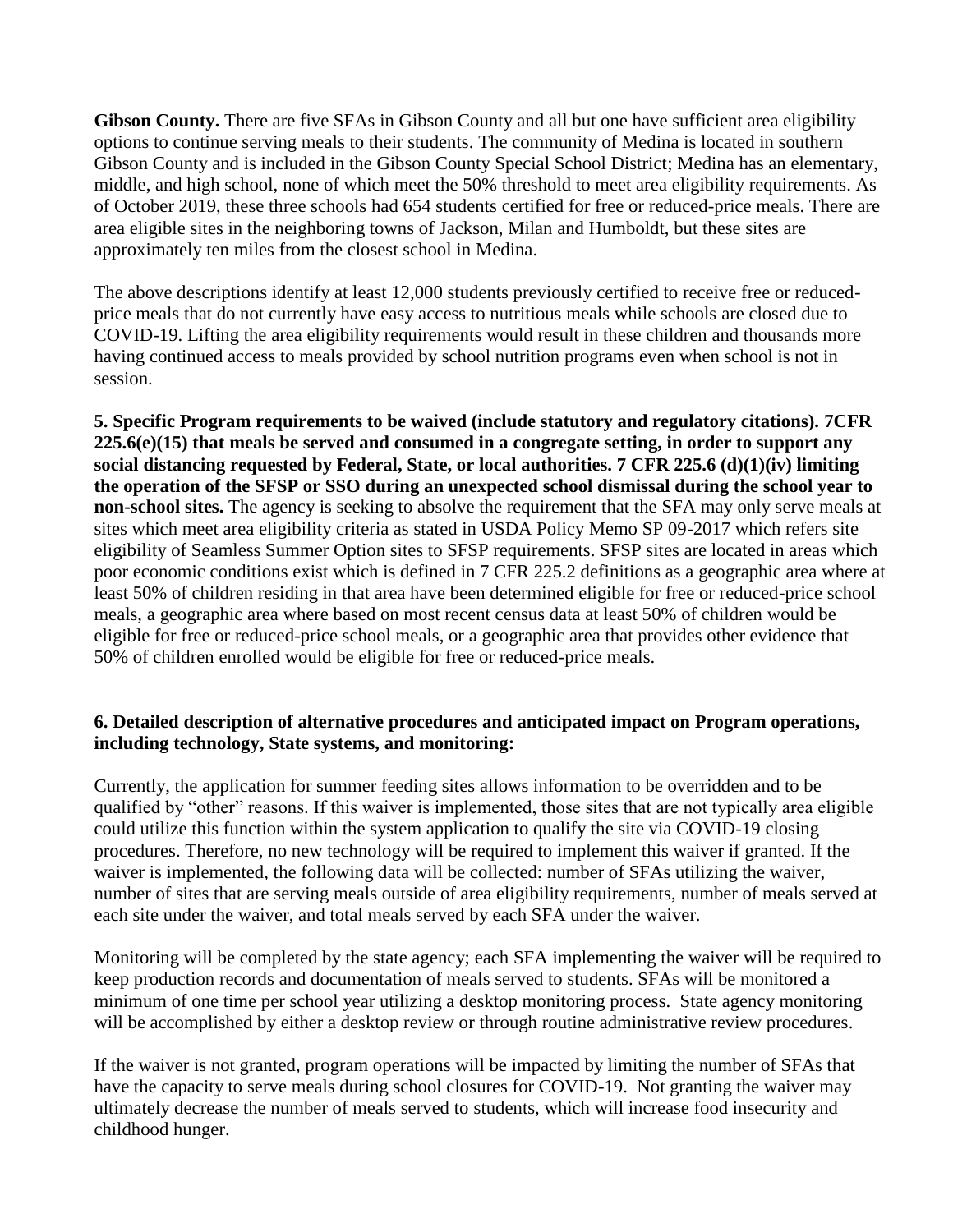**Gibson County.** There are five SFAs in Gibson County and all but one have sufficient area eligibility options to continue serving meals to their students. The community of Medina is located in southern Gibson County and is included in the Gibson County Special School District; Medina has an elementary, middle, and high school, none of which meet the 50% threshold to meet area eligibility requirements. As of October 2019, these three schools had 654 students certified for free or reduced-price meals. There are area eligible sites in the neighboring towns of Jackson, Milan and Humboldt, but these sites are approximately ten miles from the closest school in Medina.

The above descriptions identify at least 12,000 students previously certified to receive free or reducedprice meals that do not currently have easy access to nutritious meals while schools are closed due to COVID-19. Lifting the area eligibility requirements would result in these children and thousands more having continued access to meals provided by school nutrition programs even when school is not in session.

**5. Specific Program requirements to be waived (include statutory and regulatory citations). 7CFR 225.6(e)(15) that meals be served and consumed in a congregate setting, in order to support any social distancing requested by Federal, State, or local authorities. 7 CFR 225.6 (d)(1)(iv) limiting the operation of the SFSP or SSO during an unexpected school dismissal during the school year to non-school sites.** The agency is seeking to absolve the requirement that the SFA may only serve meals at sites which meet area eligibility criteria as stated in USDA Policy Memo SP 09-2017 which refers site eligibility of Seamless Summer Option sites to SFSP requirements. SFSP sites are located in areas which poor economic conditions exist which is defined in 7 CFR 225.2 definitions as a geographic area where at least 50% of children residing in that area have been determined eligible for free or reduced-price school meals, a geographic area where based on most recent census data at least 50% of children would be eligible for free or reduced-price school meals, or a geographic area that provides other evidence that 50% of children enrolled would be eligible for free or reduced-price meals.

## **6. Detailed description of alternative procedures and anticipated impact on Program operations, including technology, State systems, and monitoring:**

Currently, the application for summer feeding sites allows information to be overridden and to be qualified by "other" reasons. If this waiver is implemented, those sites that are not typically area eligible could utilize this function within the system application to qualify the site via COVID-19 closing procedures. Therefore, no new technology will be required to implement this waiver if granted. If the waiver is implemented, the following data will be collected: number of SFAs utilizing the waiver, number of sites that are serving meals outside of area eligibility requirements, number of meals served at each site under the waiver, and total meals served by each SFA under the waiver.

Monitoring will be completed by the state agency; each SFA implementing the waiver will be required to keep production records and documentation of meals served to students. SFAs will be monitored a minimum of one time per school year utilizing a desktop monitoring process. State agency monitoring will be accomplished by either a desktop review or through routine administrative review procedures.

If the waiver is not granted, program operations will be impacted by limiting the number of SFAs that have the capacity to serve meals during school closures for COVID-19. Not granting the waiver may ultimately decrease the number of meals served to students, which will increase food insecurity and childhood hunger.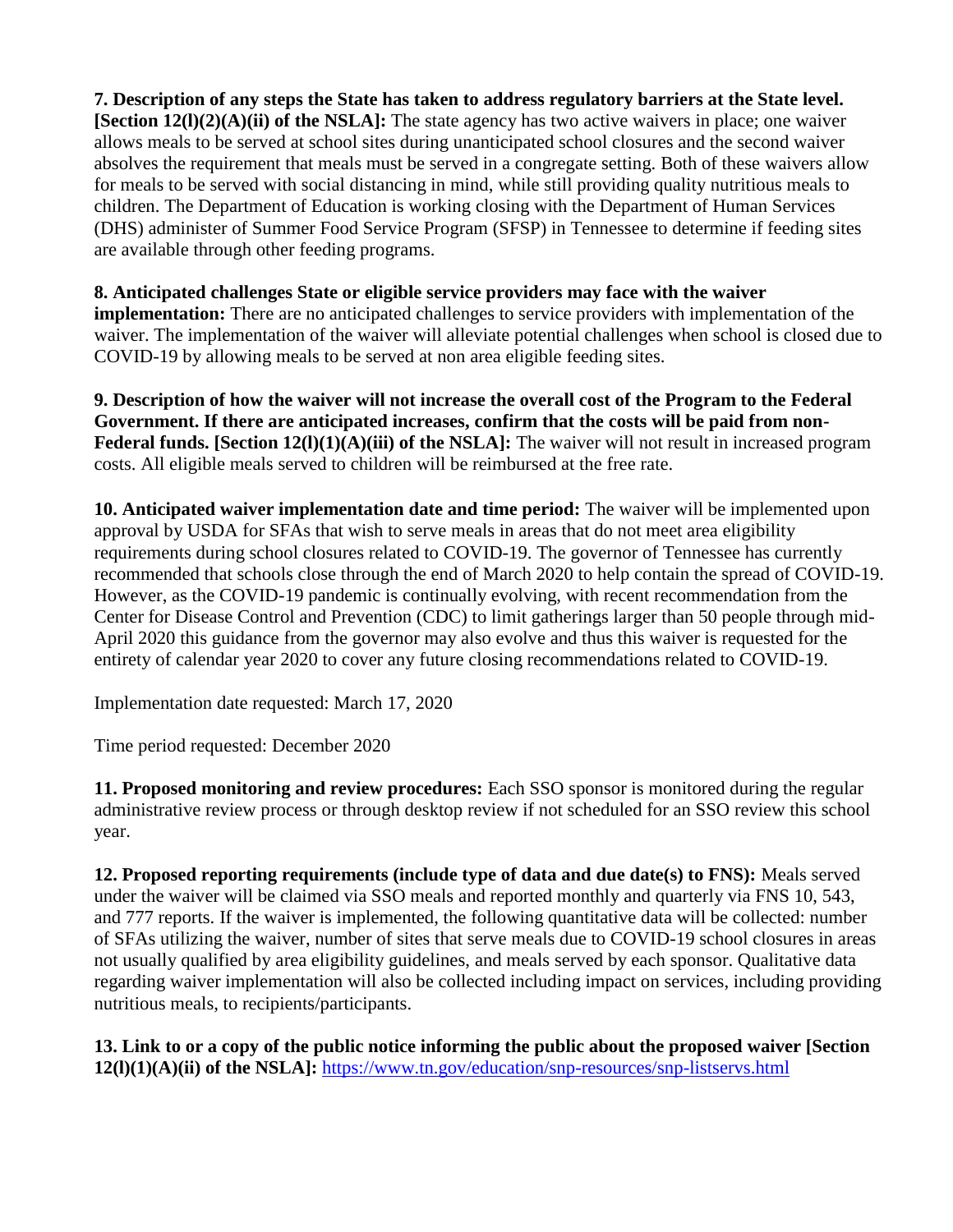**7. Description of any steps the State has taken to address regulatory barriers at the State level. [Section 12(l)(2)(A)(ii) of the NSLA]:** The state agency has two active waivers in place; one waiver allows meals to be served at school sites during unanticipated school closures and the second waiver absolves the requirement that meals must be served in a congregate setting. Both of these waivers allow for meals to be served with social distancing in mind, while still providing quality nutritious meals to children. The Department of Education is working closing with the Department of Human Services (DHS) administer of Summer Food Service Program (SFSP) in Tennessee to determine if feeding sites are available through other feeding programs.

#### **8. Anticipated challenges State or eligible service providers may face with the waiver**

**implementation:** There are no anticipated challenges to service providers with implementation of the waiver. The implementation of the waiver will alleviate potential challenges when school is closed due to COVID-19 by allowing meals to be served at non area eligible feeding sites.

**9. Description of how the waiver will not increase the overall cost of the Program to the Federal Government. If there are anticipated increases, confirm that the costs will be paid from non-Federal funds. [Section 12(l)(1)(A)(iii) of the NSLA]:** The waiver will not result in increased program costs. All eligible meals served to children will be reimbursed at the free rate.

**10. Anticipated waiver implementation date and time period:** The waiver will be implemented upon approval by USDA for SFAs that wish to serve meals in areas that do not meet area eligibility requirements during school closures related to COVID-19. The governor of Tennessee has currently recommended that schools close through the end of March 2020 to help contain the spread of COVID-19. However, as the COVID-19 pandemic is continually evolving, with recent recommendation from the Center for Disease Control and Prevention (CDC) to limit gatherings larger than 50 people through mid-April 2020 this guidance from the governor may also evolve and thus this waiver is requested for the entirety of calendar year 2020 to cover any future closing recommendations related to COVID-19.

Implementation date requested: March 17, 2020

Time period requested: December 2020

**11. Proposed monitoring and review procedures:** Each SSO sponsor is monitored during the regular administrative review process or through desktop review if not scheduled for an SSO review this school year.

**12. Proposed reporting requirements (include type of data and due date(s) to FNS):** Meals served under the waiver will be claimed via SSO meals and reported monthly and quarterly via FNS 10, 543, and 777 reports. If the waiver is implemented, the following quantitative data will be collected: number of SFAs utilizing the waiver, number of sites that serve meals due to COVID-19 school closures in areas not usually qualified by area eligibility guidelines, and meals served by each sponsor. Qualitative data regarding waiver implementation will also be collected including impact on services, including providing nutritious meals, to recipients/participants.

**13. Link to or a copy of the public notice informing the public about the proposed waiver [Section 12(l)(1)(A)(ii) of the NSLA]:** <https://www.tn.gov/education/snp-resources/snp-listservs.html>